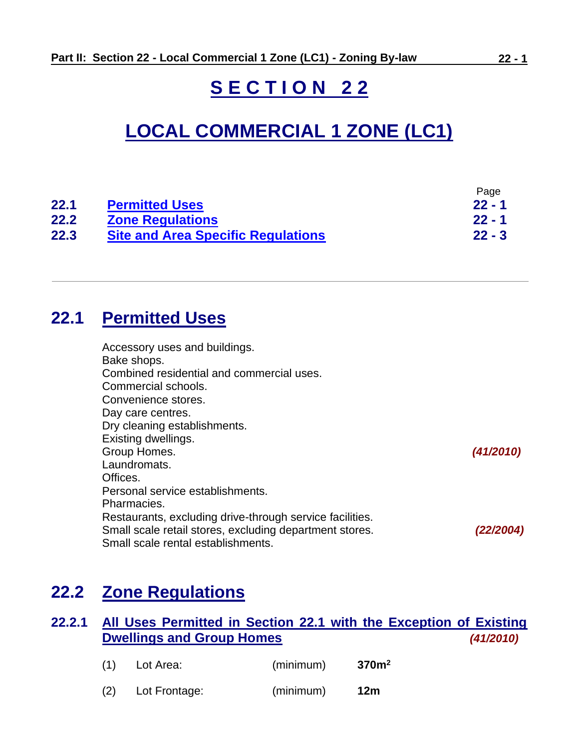# **S E C T I O N 2 2**

# **LOCAL COMMERCIAL 1 ZONE (LC1)**

|      |                                           | Page     |
|------|-------------------------------------------|----------|
| 22.1 | <b>Permitted Uses</b>                     | $22 - 1$ |
| 22.2 | <b>Zone Regulations</b>                   | $22 - 1$ |
| 22.3 | <b>Site and Area Specific Regulations</b> | $22 - 3$ |

# <span id="page-0-0"></span>**22.1 Permitted Uses**

| Accessory uses and buildings.<br>Bake shops.             |           |
|----------------------------------------------------------|-----------|
| Combined residential and commercial uses.                |           |
| Commercial schools.                                      |           |
| Convenience stores.                                      |           |
| Day care centres.                                        |           |
| Dry cleaning establishments.                             |           |
| Existing dwellings.                                      |           |
| Group Homes.                                             | (41/2010) |
| Laundromats.                                             |           |
| Offices.                                                 |           |
| Personal service establishments.                         |           |
| Pharmacies.                                              |           |
| Restaurants, excluding drive-through service facilities. |           |
| Small scale retail stores, excluding department stores.  | (22/2004) |
| Small scale rental establishments.                       |           |

# <span id="page-0-1"></span>**22.2 Zone Regulations**

# **22.2.1 All Uses Permitted in Section 22.1 with the Exception of Existing Dwellings and Group Homes** *(41/2010)*

| (1) | Lot Area:     | (minimum) | 370m <sup>2</sup> |
|-----|---------------|-----------|-------------------|
| (2) | Lot Frontage: | (minimum) | 12m               |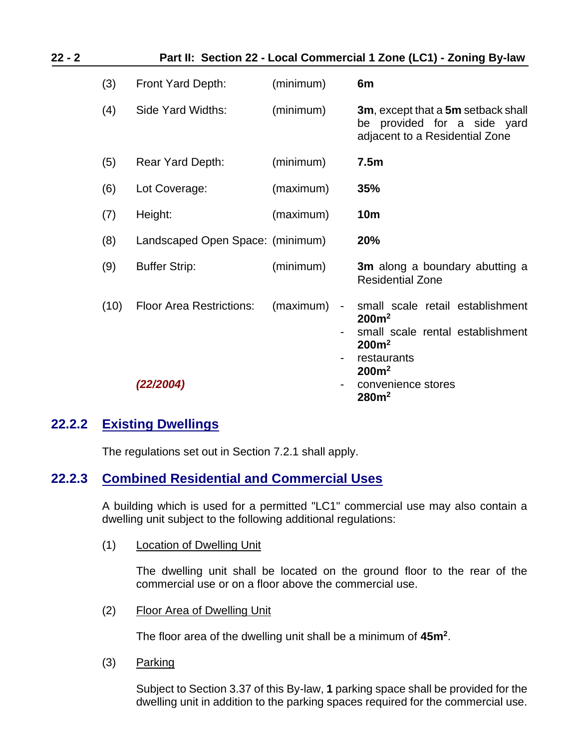| 22 - 2 | Part II: Section 22 - Local Commercial 1 Zone (LC1) - Zoning By-law |                                              |           |                                            |                                                                                                                                                                                               |
|--------|---------------------------------------------------------------------|----------------------------------------------|-----------|--------------------------------------------|-----------------------------------------------------------------------------------------------------------------------------------------------------------------------------------------------|
|        | (3)                                                                 | Front Yard Depth:                            | (minimum) |                                            | 6m                                                                                                                                                                                            |
|        | (4)                                                                 | Side Yard Widths:                            | (minimum) |                                            | <b>3m, except that a 5m setback shall</b><br>be provided for a side yard<br>adjacent to a Residential Zone                                                                                    |
|        | (5)                                                                 | Rear Yard Depth:                             | (minimum) |                                            | 7.5m                                                                                                                                                                                          |
|        | (6)                                                                 | Lot Coverage:                                | (maximum) |                                            | 35%                                                                                                                                                                                           |
|        | (7)                                                                 | Height:                                      | (maximum) |                                            | <b>10m</b>                                                                                                                                                                                    |
|        | (8)                                                                 | Landscaped Open Space: (minimum)             |           |                                            | 20%                                                                                                                                                                                           |
|        | (9)                                                                 | <b>Buffer Strip:</b>                         | (minimum) |                                            | 3m along a boundary abutting a<br><b>Residential Zone</b>                                                                                                                                     |
|        | (10)                                                                | <b>Floor Area Restrictions:</b><br>(22/2004) | (maximum) | $\overline{\phantom{a}}$<br>$\blacksquare$ | small scale retail establishment<br>200m <sup>2</sup><br>small scale rental establishment<br>200m <sup>2</sup><br>restaurants<br>200m <sup>2</sup><br>convenience stores<br>280m <sup>2</sup> |

# **22.2.2 Existing Dwellings**

The regulations set out in Section 7.2.1 shall apply.

# **22.2.3 Combined Residential and Commercial Uses**

A building which is used for a permitted "LC1" commercial use may also contain a dwelling unit subject to the following additional regulations:

(1) Location of Dwelling Unit

The dwelling unit shall be located on the ground floor to the rear of the commercial use or on a floor above the commercial use.

(2) Floor Area of Dwelling Unit

The floor area of the dwelling unit shall be a minimum of **45m<sup>2</sup>** .

(3) Parking

Subject to Section 3.37 of this By-law, **1** parking space shall be provided for the dwelling unit in addition to the parking spaces required for the commercial use.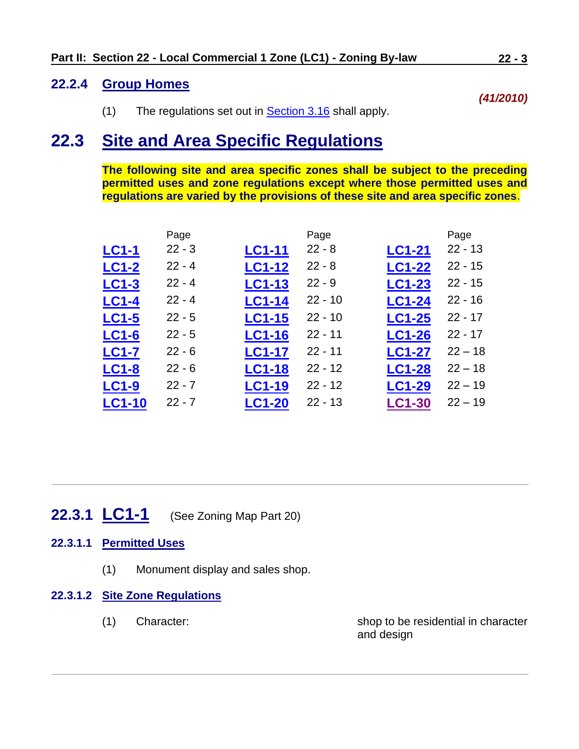# **22.2.4 Group Homes**

(1) The regulations set out in [Section 3.16](../ZB_Sec_03_General_Regulations.doc#GR_3_16_Group_Homes) shall apply.

# <span id="page-2-0"></span>**22.3 Site and Area Specific Regulations**

**The following site and area specific zones shall be subject to the preceding permitted uses and zone regulations except where those permitted uses and regulations are varied by the provisions of these site and area specific zones**.

|               | Page     |               | Page      |               | Page      |
|---------------|----------|---------------|-----------|---------------|-----------|
| <b>LC1-1</b>  | $22 - 3$ | <b>LC1-11</b> | $22 - 8$  | <b>LC1-21</b> | $22 - 13$ |
| <b>LC1-2</b>  | $22 - 4$ | <b>LC1-12</b> | $22 - 8$  | <b>LC1-22</b> | $22 - 15$ |
| <b>LC1-3</b>  | $22 - 4$ | <b>LC1-13</b> | $22 - 9$  | <b>LC1-23</b> | $22 - 15$ |
| <b>LC1-4</b>  | $22 - 4$ | <b>LC1-14</b> | $22 - 10$ | <b>LC1-24</b> | $22 - 16$ |
| <b>LC1-5</b>  | $22 - 5$ | <b>LC1-15</b> | $22 - 10$ | <b>LC1-25</b> | $22 - 17$ |
| <b>LC1-6</b>  | $22 - 5$ | <b>LC1-16</b> | $22 - 11$ | <b>LC1-26</b> | $22 - 17$ |
| <b>LC1-7</b>  | $22 - 6$ | <b>LC1-17</b> | $22 - 11$ | <b>LC1-27</b> | $22 - 18$ |
| <b>LC1-8</b>  | $22 - 6$ | <b>LC1-18</b> | $22 - 12$ | <b>LC1-28</b> | $22 - 18$ |
| <b>LC1-9</b>  | $22 - 7$ | <b>LC1-19</b> | $22 - 12$ | <b>LC1-29</b> | $22 - 19$ |
| <b>LC1-10</b> | $22 - 7$ | <b>LC1-20</b> | $22 - 13$ | <b>LC1-30</b> | $22 - 19$ |
|               |          |               |           |               |           |

<span id="page-2-1"></span>**22.3.1 LC1-1** (See Zoning Map Part 20)

# **22.3.1.1 Permitted Uses**

(1) Monument display and sales shop.

### **22.3.1.2 Site Zone Regulations**

(1) Character: shop to be residential in character and design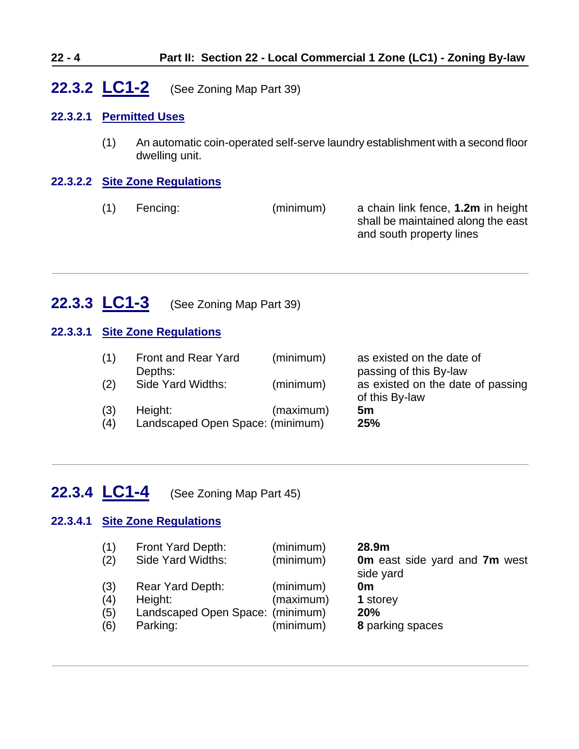### **22 - 4 Part II: Section 22 - Local Commercial 1 Zone (LC1) - Zoning By-law**

# <span id="page-3-0"></span>**22.3.2 LC1-2** (See Zoning Map Part 39)

#### **22.3.2.1 Permitted Uses**

(1) An automatic coin-operated self-serve laundry establishment with a second floor dwelling unit.

#### **22.3.2.2 Site Zone Regulations**

(1) Fencing: (minimum) a chain link fence, **1.2m** in height shall be maintained along the east and south property lines

# <span id="page-3-1"></span>**22.3.3 LC1-3** (See Zoning Map Part 39)

#### **22.3.3.1 Site Zone Regulations**

| (1) | <b>Front and Rear Yard</b>       | (minimum) | as existed on the date of                           |
|-----|----------------------------------|-----------|-----------------------------------------------------|
|     | Depths:                          |           | passing of this By-law                              |
| (2) | Side Yard Widths:                | (minimum) | as existed on the date of passing<br>of this By-law |
| (3) | Height:                          | (maximum) | 5m                                                  |
| (4) | Landscaped Open Space: (minimum) |           | 25%                                                 |
|     |                                  |           |                                                     |

# <span id="page-3-2"></span>**22.3.4 LC1-4** (See Zoning Map Part 45)

#### **22.3.4.1 Site Zone Regulations**

| (1) | Front Yard Depth:                | (minimum) | 28.9m                                             |
|-----|----------------------------------|-----------|---------------------------------------------------|
| (2) | Side Yard Widths:                | (minimum) | <b>0m</b> east side yard and 7m west<br>side yard |
| (3) | Rear Yard Depth:                 | (minimum) | 0m                                                |
| (4) | Height:                          | (maximum) | 1 storey                                          |
| (5) | Landscaped Open Space: (minimum) |           | <b>20%</b>                                        |
| (6) | Parking:                         | (minimum) | 8 parking spaces                                  |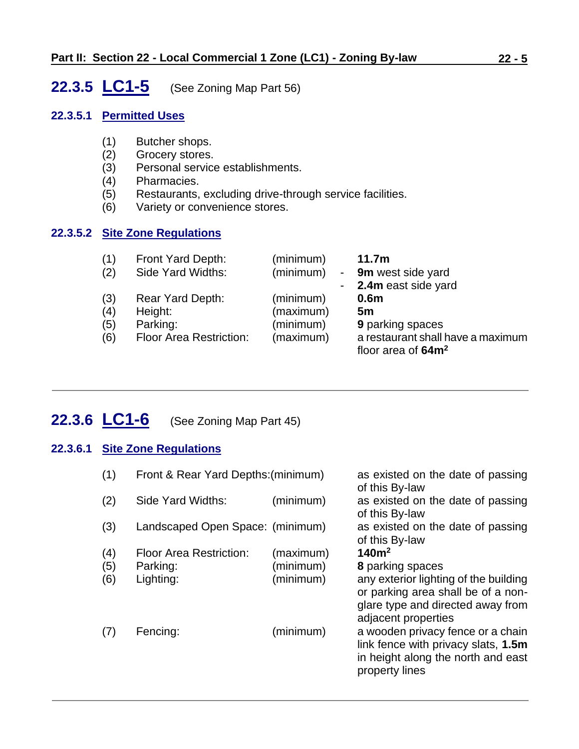# <span id="page-4-0"></span>**22.3.5 LC1-5** (See Zoning Map Part 56)

#### **22.3.5.1 Permitted Uses**

- (1) Butcher shops.
- (2) Grocery stores.
- (3) Personal service establishments.
- (4) Pharmacies.
- Restaurants, excluding drive-through service facilities.
- (6) Variety or convenience stores.

# **22.3.5.2 Site Zone Regulations**

| (1) | Front Yard Depth:              | (minimum) | 11.7 <sub>m</sub>                                          |
|-----|--------------------------------|-----------|------------------------------------------------------------|
| (2) | Side Yard Widths:              | (minimum) | - 9m west side yard                                        |
|     |                                |           | - 2.4m east side yard                                      |
| (3) | Rear Yard Depth:               | (minimum) | 0.6 <sub>m</sub>                                           |
| (4) | Height:                        | (maximum) | 5m                                                         |
| (5) | Parking:                       | (minimum) | <b>9 parking spaces</b>                                    |
| (6) | <b>Floor Area Restriction:</b> | (maximum) | a restaurant shall have a maximum<br>floor area of $64m^2$ |

# <span id="page-4-1"></span>**22.3.6 LC1-6** (See Zoning Map Part 45)

### **22.3.6.1 Site Zone Regulations**

| (1) | Front & Rear Yard Depths: (minimum) |           | as existed on the date of passing<br>of this By-law                                                                                     |
|-----|-------------------------------------|-----------|-----------------------------------------------------------------------------------------------------------------------------------------|
| (2) | Side Yard Widths:                   | (minimum) | as existed on the date of passing<br>of this By-law                                                                                     |
| (3) | Landscaped Open Space: (minimum)    |           | as existed on the date of passing<br>of this By-law                                                                                     |
| (4) | <b>Floor Area Restriction:</b>      | (maximum) | 140m <sup>2</sup>                                                                                                                       |
| (5) | Parking:                            | (minimum) | 8 parking spaces                                                                                                                        |
| (6) | Lighting:                           | (minimum) | any exterior lighting of the building<br>or parking area shall be of a non-<br>glare type and directed away from<br>adjacent properties |
| (7) | Fencing:                            | (minimum) | a wooden privacy fence or a chain<br>link fence with privacy slats, 1.5m<br>in height along the north and east<br>property lines        |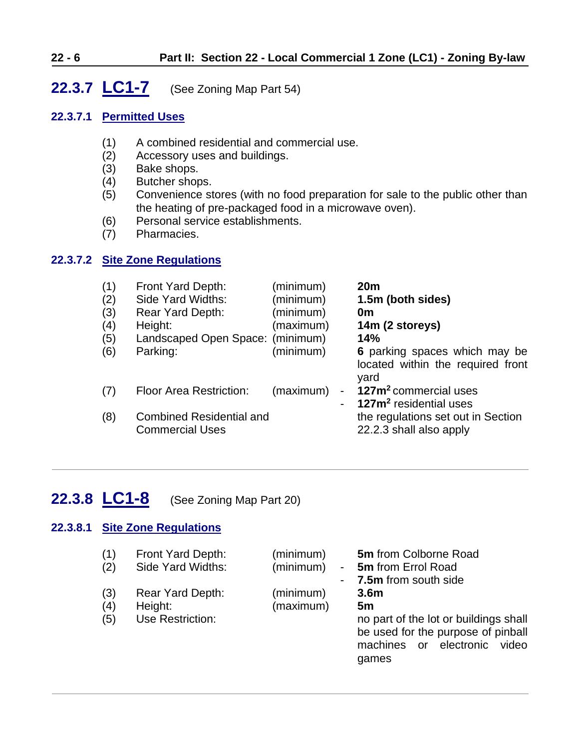# <span id="page-5-0"></span>**22.3.7 LC1-7** (See Zoning Map Part 54)

# **22.3.7.1 Permitted Uses**

- (1) A combined residential and commercial use.
- (2) Accessory uses and buildings.
- (3) Bake shops.
- (4) Butcher shops.
- (5) Convenience stores (with no food preparation for sale to the public other than the heating of pre-packaged food in a microwave oven).
- (6) Personal service establishments.
- (7) Pharmacies.

### **22.3.7.2 Site Zone Regulations**

| (1)<br>(2)<br>(3)<br>(4)<br>(5)<br>(6) | Front Yard Depth:<br>Side Yard Widths:<br><b>Rear Yard Depth:</b><br>Height:<br>Landscaped Open Space: (minimum)<br>Parking: | (minimum)<br>(minimum)<br>(minimum)<br>(maximum)<br>(minimum) | 20 <sub>m</sub><br>1.5m (both sides)<br>0m<br>14m (2 storeys)<br>14%<br>6 parking spaces which may be<br>located within the required front<br>yard |
|----------------------------------------|------------------------------------------------------------------------------------------------------------------------------|---------------------------------------------------------------|----------------------------------------------------------------------------------------------------------------------------------------------------|
| (7)                                    | <b>Floor Area Restriction:</b>                                                                                               | (maximum)                                                     | 127m <sup>2</sup> commercial uses<br>127m <sup>2</sup> residential uses                                                                            |
| (8)                                    | <b>Combined Residential and</b><br><b>Commercial Uses</b>                                                                    |                                                               | the regulations set out in Section<br>22.2.3 shall also apply                                                                                      |

# <span id="page-5-1"></span>**22.3.8 LC1-8** (See Zoning Map Part 20)

### **22.3.8.1 Site Zone Regulations**

| (1) | Front Yard Depth: | (minimum) | <b>5m</b> from Colborne Road          |
|-----|-------------------|-----------|---------------------------------------|
| (2) | Side Yard Widths: | (minimum) | 5m from Errol Road<br>$\sim 100$      |
|     |                   |           | 7.5m from south side                  |
| (3) | Rear Yard Depth:  | (minimum) | 3.6 <sub>m</sub>                      |
| (4) | Height:           | (maximum) | 5m                                    |
| (5) | Use Restriction:  |           | no part of the lot or buildings shall |
|     |                   |           | be used for the purpose of pinball    |
|     |                   |           | machines or electronic video          |
|     |                   |           | games                                 |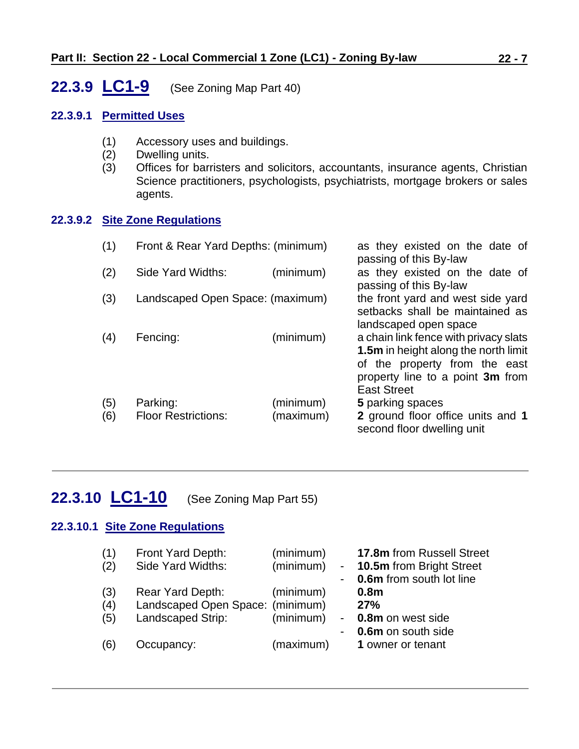# <span id="page-6-0"></span>**22.3.9 LC1-9** (See Zoning Map Part 40)

### **22.3.9.1 Permitted Uses**

- (1) Accessory uses and buildings.
- (2) Dwelling units.
- (3) Offices for barristers and solicitors, accountants, insurance agents, Christian Science practitioners, psychologists, psychiatrists, mortgage brokers or sales agents.

### **22.3.9.2 Site Zone Regulations**

| (1)        | Front & Rear Yard Depths: (minimum)    |                        | as they existed on the date of<br>passing of this By-law                                                                                                                 |
|------------|----------------------------------------|------------------------|--------------------------------------------------------------------------------------------------------------------------------------------------------------------------|
| (2)        | Side Yard Widths:                      | (minimum)              | as they existed on the date of<br>passing of this By-law                                                                                                                 |
| (3)        | Landscaped Open Space: (maximum)       |                        | the front yard and west side yard<br>setbacks shall be maintained as<br>landscaped open space                                                                            |
| (4)        | Fencing:                               | (minimum)              | a chain link fence with privacy slats<br>1.5m in height along the north limit<br>of the property from the east<br>property line to a point 3m from<br><b>East Street</b> |
| (5)<br>(6) | Parking:<br><b>Floor Restrictions:</b> | (minimum)<br>(maximum) | 5 parking spaces<br>2 ground floor office units and 1<br>second floor dwelling unit                                                                                      |

# **22.3.10 LC1-10** (See Zoning Map Part 55)

# **22.3.10.1 Site Zone Regulations**

<span id="page-6-1"></span>

| (1)<br>(2)        | Front Yard Depth:<br>Side Yard Widths:                                    | (minimum)<br>(minimum) | 17.8m from Russell Street<br><b>10.5m</b> from Bright Street<br><b>0.6m</b> from south lot line |
|-------------------|---------------------------------------------------------------------------|------------------------|-------------------------------------------------------------------------------------------------|
| (3)<br>(4)<br>(5) | Rear Yard Depth:<br>Landscaped Open Space: (minimum)<br>Landscaped Strip: | (minimum)<br>(minimum) | 0.8 <sub>m</sub><br>27%<br>0.8m on west side<br>0.6m on south side                              |
| (6)               | Occupancy:                                                                | (maximum)              | 1 owner or tenant                                                                               |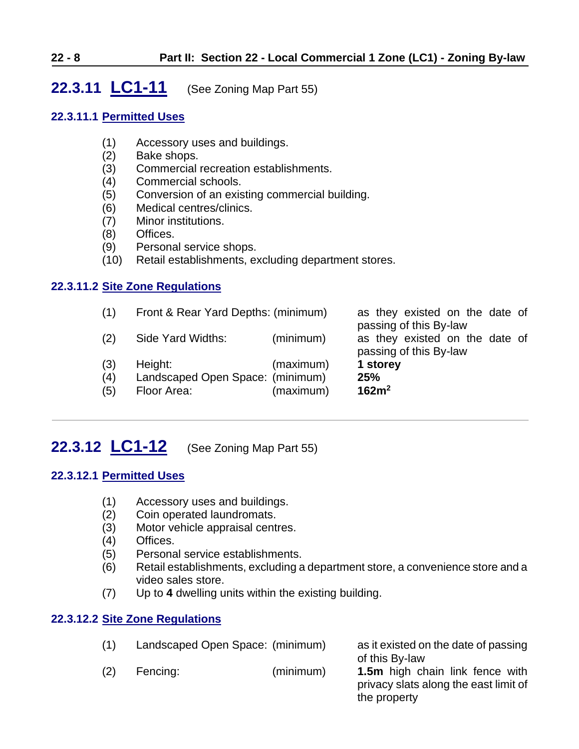# <span id="page-7-0"></span>**22.3.11 LC1-11** (See Zoning Map Part 55)

### **22.3.11.1 Permitted Uses**

- (1) Accessory uses and buildings.
- (2) Bake shops.
- (3) Commercial recreation establishments.
- (4) Commercial schools.
- (5) Conversion of an existing commercial building.
- (6) Medical centres/clinics.
- (7) Minor institutions.
- (8) Offices.
- (9) Personal service shops.
- (10) Retail establishments, excluding department stores.

### **22.3.11.2 Site Zone Regulations**

| (1) | Front & Rear Yard Depths: (minimum) |           | as they existed on the date of                           |
|-----|-------------------------------------|-----------|----------------------------------------------------------|
| (2) | Side Yard Widths:                   | (minimum) | passing of this By-law<br>as they existed on the date of |
|     |                                     |           | passing of this By-law                                   |
| (3) | Height:                             | (maximum) | 1 storey                                                 |
| (4) | Landscaped Open Space: (minimum)    |           | 25%                                                      |
| (5) | Floor Area:                         | (maximum) | 162m <sup>2</sup>                                        |
|     |                                     |           |                                                          |

# <span id="page-7-1"></span>**22.3.12 LC1-12** (See Zoning Map Part 55)

# **22.3.12.1 Permitted Uses**

- (1) Accessory uses and buildings.
- (2) Coin operated laundromats.
- (3) Motor vehicle appraisal centres.
- (4) Offices.
- (5) Personal service establishments.
- (6) Retail establishments, excluding a department store, a convenience store and a video sales store.
- (7) Up to **4** dwelling units within the existing building.

### **22.3.12.2 Site Zone Regulations**

| (1) | Landscaped Open Space: (minimum) |           | as it existed on the date of passing                                     |
|-----|----------------------------------|-----------|--------------------------------------------------------------------------|
|     |                                  |           | of this By-law                                                           |
| (2) | Fencing:                         | (minimum) | 1.5m high chain link fence with<br>privacy slats along the east limit of |
|     |                                  |           | the property                                                             |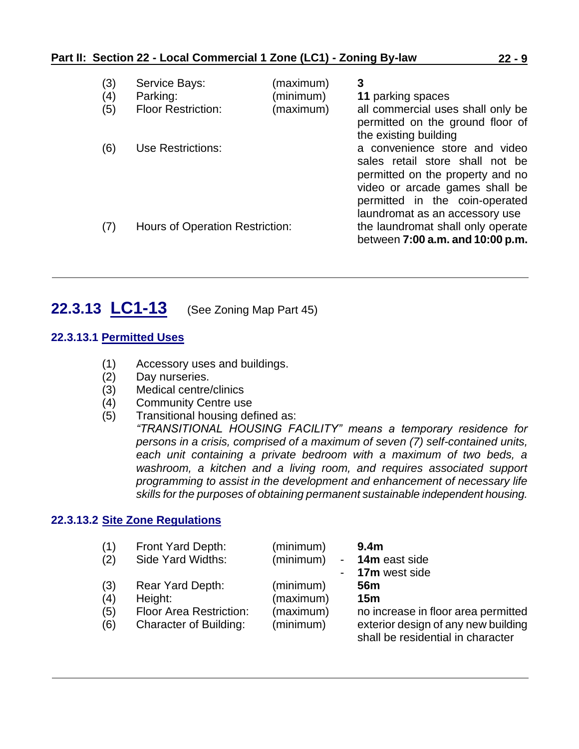| (3)<br>(4)<br>(5) | Service Bays:<br>Parking:<br><b>Floor Restriction:</b> | (maximum)<br>(minimum)<br>(maximum) | 3<br>11 parking spaces<br>all commercial uses shall only be<br>permitted on the ground floor of<br>the existing building                                                                                   |
|-------------------|--------------------------------------------------------|-------------------------------------|------------------------------------------------------------------------------------------------------------------------------------------------------------------------------------------------------------|
| (6)               | Use Restrictions:                                      |                                     | a convenience store and video<br>sales retail store shall not be<br>permitted on the property and no<br>video or arcade games shall be<br>permitted in the coin-operated<br>laundromat as an accessory use |
| (7)               | Hours of Operation Restriction:                        |                                     | the laundromat shall only operate<br>between 7:00 a.m. and 10:00 p.m.                                                                                                                                      |

# <span id="page-8-0"></span>**22.3.13 LC1-13** (See Zoning Map Part 45)

### **22.3.13.1 Permitted Uses**

- (1) Accessory uses and buildings.
- (2) Day nurseries.
- (3) Medical centre/clinics
- (4) Community Centre use
- (5) Transitional housing defined as:

*"TRANSITIONAL HOUSING FACILITY" means a temporary residence for persons in a crisis, comprised of a maximum of seven (7) self-contained units, each unit containing a private bedroom with a maximum of two beds, a washroom, a kitchen and a living room, and requires associated support programming to assist in the development and enhancement of necessary life skills for the purposes of obtaining permanent sustainable independent housing.*

#### **22.3.13.2 Site Zone Regulations**

| (1) | Front Yard Depth:              | (minimum) |            | 9.4 <sub>m</sub>                                                         |
|-----|--------------------------------|-----------|------------|--------------------------------------------------------------------------|
| (2) | Side Yard Widths:              | (minimum) | $\sim 100$ | 14m east side                                                            |
|     |                                |           |            | - 17m west side                                                          |
| (3) | Rear Yard Depth:               | (minimum) |            | 56m                                                                      |
| (4) | Height:                        | (maximum) |            | 15 <sub>m</sub>                                                          |
| (5) | <b>Floor Area Restriction:</b> | (maximum) |            | no increase in floor area permitted                                      |
| (6) | <b>Character of Building:</b>  | (minimum) |            | exterior design of any new building<br>shall be residential in character |
|     |                                |           |            |                                                                          |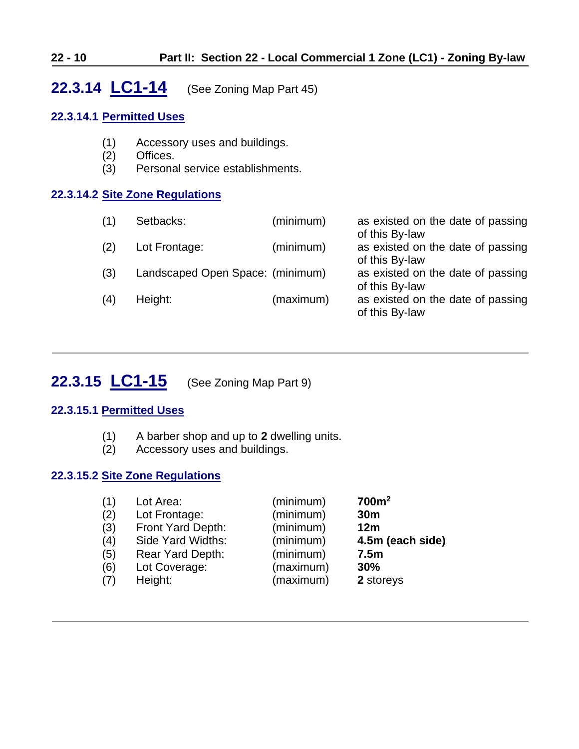# <span id="page-9-0"></span>**22.3.14 LC1-14** (See Zoning Map Part 45)

# **22.3.14.1 Permitted Uses**

- (1) Accessory uses and buildings.
- (2) Offices.
- (3) Personal service establishments.

# **22.3.14.2 Site Zone Regulations**

| (1) | Setbacks:                        | (minimum) | as existed on the date of passing<br>of this By-law |
|-----|----------------------------------|-----------|-----------------------------------------------------|
| (2) | Lot Frontage:                    | (minimum) | as existed on the date of passing<br>of this By-law |
| (3) | Landscaped Open Space: (minimum) |           | as existed on the date of passing<br>of this By-law |
| (4) | Height:                          | (maximum) | as existed on the date of passing<br>of this By-law |

# <span id="page-9-1"></span>**22.3.15 LC1-15** (See Zoning Map Part 9)

# **22.3.15.1 Permitted Uses**

- (1) A barber shop and up to **2** dwelling units.
- (2) Accessory uses and buildings.

# **22.3.15.2 Site Zone Regulations**

| (1) | Lot Area:         | (minimum) | 700m <sup>2</sup> |
|-----|-------------------|-----------|-------------------|
| (2) | Lot Frontage:     | (minimum) | 30 <sub>m</sub>   |
| (3) | Front Yard Depth: | (minimum) | 12m               |
| (4) | Side Yard Widths: | (minimum) | 4.5m (each side)  |
| (5) | Rear Yard Depth:  | (minimum) | 7.5 <sub>m</sub>  |
| (6) | Lot Coverage:     | (maximum) | 30%               |
| (7) | Height:           | (maximum) | 2 storeys         |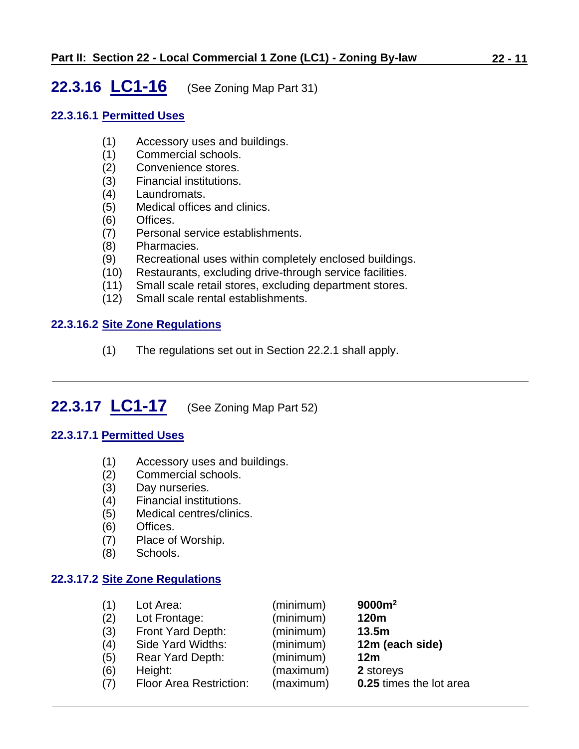# <span id="page-10-0"></span>**22.3.16 LC1-16** (See Zoning Map Part 31)

### **22.3.16.1 Permitted Uses**

- (1) Accessory uses and buildings.
- (1) Commercial schools.
- (2) Convenience stores.
- (3) Financial institutions.
- (4) Laundromats.
- (5) Medical offices and clinics.
- (6) Offices.
- (7) Personal service establishments.
- (8) Pharmacies.
- (9) Recreational uses within completely enclosed buildings.
- (10) Restaurants, excluding drive-through service facilities.
- (11) Small scale retail stores, excluding department stores.
- (12) Small scale rental establishments.

### **22.3.16.2 Site Zone Regulations**

<span id="page-10-1"></span>(1) The regulations set out in Section 22.2.1 shall apply.

# **22.3.17 LC1-17** (See Zoning Map Part 52)

# **22.3.17.1 Permitted Uses**

- (1) Accessory uses and buildings.
- (2) Commercial schools.
- (3) Day nurseries.
- (4) Financial institutions.
- (5) Medical centres/clinics.
- (6) Offices.
- (7) Place of Worship.
- (8) Schools.

### **22.3.17.2 Site Zone Regulations**

| (1) | Lot Area:                      | (minimum) | 9000m <sup>2</sup>      |
|-----|--------------------------------|-----------|-------------------------|
| (2) | Lot Frontage:                  | (minimum) | 120m                    |
| (3) | Front Yard Depth:              | (minimum) | 13.5m                   |
| (4) | Side Yard Widths:              | (minimum) | 12m (each side)         |
| (5) | Rear Yard Depth:               | (minimum) | 12 <sub>m</sub>         |
| (6) | Height:                        | (maximum) | 2 storeys               |
| (7) | <b>Floor Area Restriction:</b> | (maximum) | 0.25 times the lot area |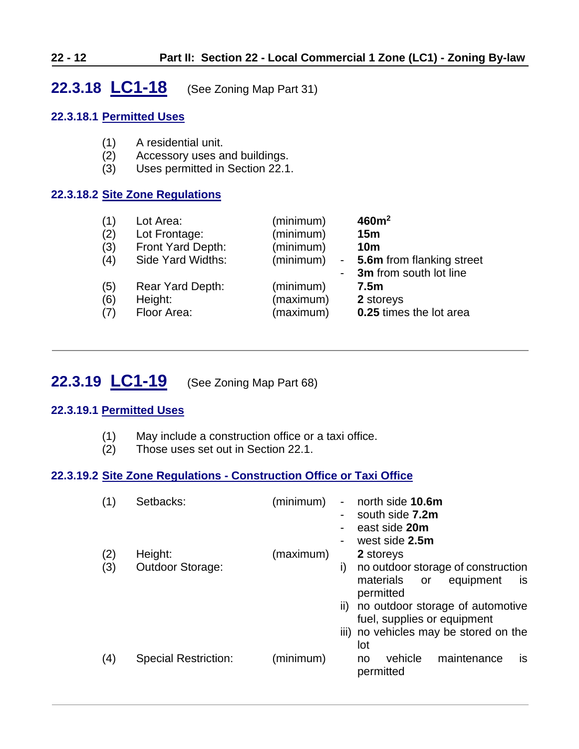# <span id="page-11-0"></span>**22.3.18 LC1-18** (See Zoning Map Part 31)

### **22.3.18.1 Permitted Uses**

- (1) A residential unit.
- (2) Accessory uses and buildings.
- (3) Uses permitted in Section 22.1.

# **22.3.18.2 Site Zone Regulations**

| (1)               | Lot Area:                                  | (minimum)                           | 460m <sup>2</sup>                                                                    |
|-------------------|--------------------------------------------|-------------------------------------|--------------------------------------------------------------------------------------|
| (2)               | Lot Frontage:                              | (minimum)                           | 15m                                                                                  |
| (3)               | Front Yard Depth:                          | (minimum)                           | 10 <sub>m</sub>                                                                      |
| (4)               | Side Yard Widths:                          | (minimum)                           | - 5.6m from flanking street                                                          |
| (5)<br>(6)<br>(7) | Rear Yard Depth:<br>Height:<br>Floor Area: | (minimum)<br>(maximum)<br>(maximum) | - 3m from south lot line<br>7.5 <sub>m</sub><br>2 storeys<br>0.25 times the lot area |

# <span id="page-11-1"></span>**22.3.19 LC1-19** (See Zoning Map Part 68)

# **22.3.19.1 Permitted Uses**

- (1) May include a construction office or a taxi office.
- (2) Those uses set out in Section 22.1.

# **22.3.19.2 Site Zone Regulations - Construction Office or Taxi Office**

| (1) | Setbacks:                   | (minimum) |               | north side 10.6m<br>south side 7.2m<br>east side 20m<br>west side 2.5m                       |
|-----|-----------------------------|-----------|---------------|----------------------------------------------------------------------------------------------|
| (2) | Height:                     | (maximum) |               | 2 storeys                                                                                    |
| (3) | <b>Outdoor Storage:</b>     |           | i)            | no outdoor storage of construction<br>materials<br>equipment<br>or<br><b>is</b><br>permitted |
|     |                             |           | $\parallel$ ) | no outdoor storage of automotive                                                             |
|     |                             |           |               | fuel, supplies or equipment                                                                  |
|     |                             |           |               | iii) no vehicles may be stored on the<br>lot                                                 |
| (4) | <b>Special Restriction:</b> | (minimum) |               | vehicle<br>maintenance<br>is.<br>no<br>permitted                                             |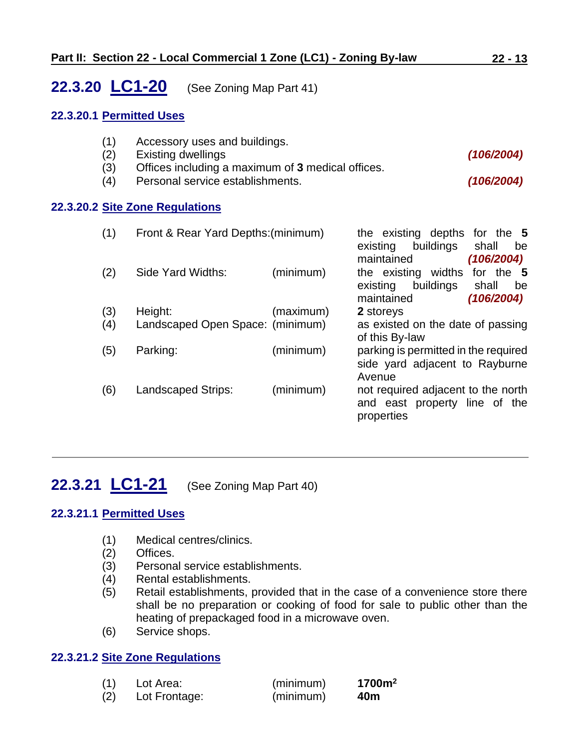# <span id="page-12-1"></span>**22.3.20 LC1-20** (See Zoning Map Part 41)

#### **22.3.20.1 Permitted Uses**

- (1) Accessory uses and buildings.
- (2) Existing dwellings *(106/2004)*
- (3) Offices including a maximum of **3** medical offices.
- (4) Personal service establishments. *(106/2004)*

#### **22.3.20.2 Site Zone Regulations**

| (1) | Front & Rear Yard Depths: (minimum) |           | the existing depths for the 5<br>buildings<br>existing<br>shall<br>be<br>maintained<br>(106/2004)    |
|-----|-------------------------------------|-----------|------------------------------------------------------------------------------------------------------|
| (2) | Side Yard Widths:                   | (minimum) | the existing widths<br>for the 5<br>buildings<br>existing<br>shall<br>be<br>(106/2004)<br>maintained |
| (3) | Height:                             | (maximum) | 2 storeys                                                                                            |
| (4) | Landscaped Open Space: (minimum)    |           | as existed on the date of passing<br>of this By-law                                                  |
| (5) | Parking:                            | (minimum) | parking is permitted in the required<br>side yard adjacent to Rayburne<br>Avenue                     |
| (6) | Landscaped Strips:                  | (minimum) | not required adjacent to the north<br>and east property line of the<br>properties                    |

# <span id="page-12-0"></span>**22.3.21 LC1-21** (See Zoning Map Part 40)

### **22.3.21.1 Permitted Uses**

- (1) Medical centres/clinics.
- (2) Offices.
- (3) Personal service establishments.
- (4) Rental establishments.
- (5) Retail establishments, provided that in the case of a convenience store there shall be no preparation or cooking of food for sale to public other than the heating of prepackaged food in a microwave oven.
- (6) Service shops.

### **22.3.21.2 Site Zone Regulations**

| (1) | Lot Area:     | (minimum) | 1700m <sup>2</sup> |
|-----|---------------|-----------|--------------------|
| (2) | Lot Frontage: | (minimum) | 40m                |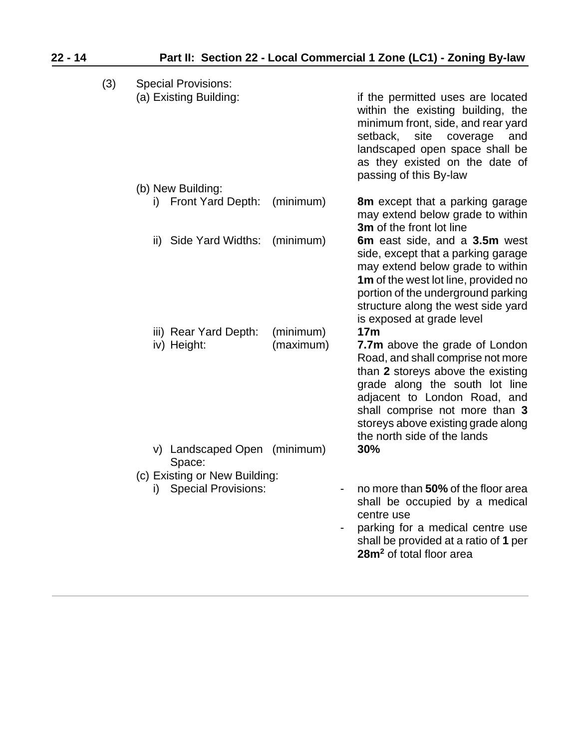| (3) | <b>Special Provisions:</b><br>(a) Existing Building:              |                        | if the permitted uses are located<br>within the existing building, the<br>minimum front, side, and rear yard<br>setback,<br>site<br>coverage<br>and<br>landscaped open space shall be<br>as they existed on the date of<br>passing of this By-law                                                    |
|-----|-------------------------------------------------------------------|------------------------|------------------------------------------------------------------------------------------------------------------------------------------------------------------------------------------------------------------------------------------------------------------------------------------------------|
|     | (b) New Building:<br>i) Front Yard Depth:                         | (minimum)              | <b>8m</b> except that a parking garage<br>may extend below grade to within<br>3m of the front lot line                                                                                                                                                                                               |
|     | Side Yard Widths:<br>ii)                                          | (minimum)              | 6m east side, and a 3.5m west<br>side, except that a parking garage<br>may extend below grade to within<br>1m of the west lot line, provided no<br>portion of the underground parking<br>structure along the west side yard<br>is exposed at grade level                                             |
|     | iii) Rear Yard Depth:<br>iv) Height:                              | (minimum)<br>(maximum) | 17 <sub>m</sub><br>7.7m above the grade of London<br>Road, and shall comprise not more<br>than 2 storeys above the existing<br>grade along the south lot line<br>adjacent to London Road, and<br>shall comprise not more than 3<br>storeys above existing grade along<br>the north side of the lands |
|     | v) Landscaped Open (minimum)<br>Space:                            |                        | 30%                                                                                                                                                                                                                                                                                                  |
|     | (c) Existing or New Building:<br><b>Special Provisions:</b><br>i) |                        | no more than 50% of the floor area<br>shall be occupied by a medical<br>centre use<br>parking for a medical centre use<br>shall be provided at a ratio of 1 per<br>28m <sup>2</sup> of total floor area                                                                                              |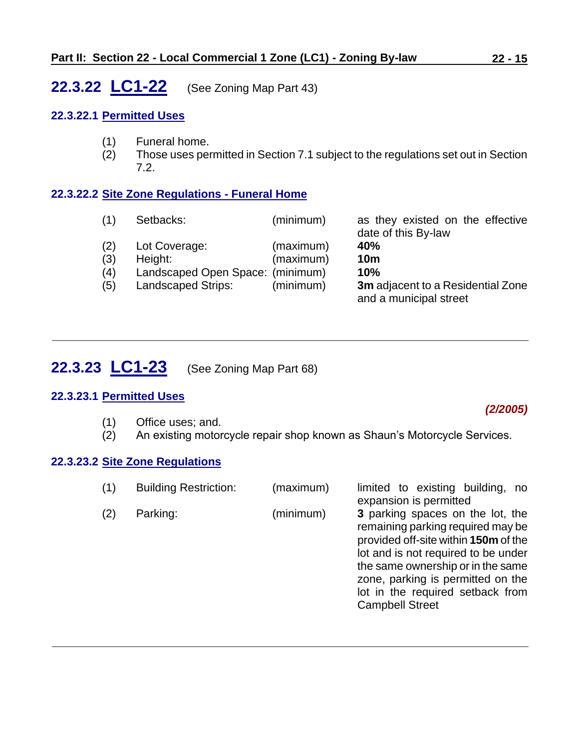# <span id="page-14-0"></span>**22.3.22 LC1-22** (See Zoning Map Part 43)

### **22.3.22.1 Permitted Uses**

- (1) Funeral home.
- (2) Those uses permitted in Section 7.1 subject to the regulations set out in Section 7.2.

# **22.3.22.2 Site Zone Regulations - Funeral Home**

| (1) | Setbacks:                        | (minimum) | as they existed on the effective<br>date of this By-law     |
|-----|----------------------------------|-----------|-------------------------------------------------------------|
| (2) | Lot Coverage:                    | (maximum) | 40%                                                         |
| (3) | Height:                          | (maximum) | 10 <sub>m</sub>                                             |
| (4) | Landscaped Open Space: (minimum) |           | 10%                                                         |
| (5) | <b>Landscaped Strips:</b>        | (minimum) | 3m adjacent to a Residential Zone<br>and a municipal street |

# <span id="page-14-1"></span>**22.3.23 LC1-23** (See Zoning Map Part 68)

### **22.3.23.1 Permitted Uses**

(1) Office uses; and.

### *(2/2005)*

(2) An existing motorcycle repair shop known as Shaun's Motorcycle Services.

### **22.3.23.2 Site Zone Regulations**

| expansion is permitted<br>(2)<br>3 parking spaces on the lot, the<br>(minimum)<br>Parking:<br>remaining parking required may be<br>provided off-site within 150m of the<br>lot and is not required to be under<br>the same ownership or in the same<br>zone, parking is permitted on the<br>lot in the required setback from<br><b>Campbell Street</b> |  |
|--------------------------------------------------------------------------------------------------------------------------------------------------------------------------------------------------------------------------------------------------------------------------------------------------------------------------------------------------------|--|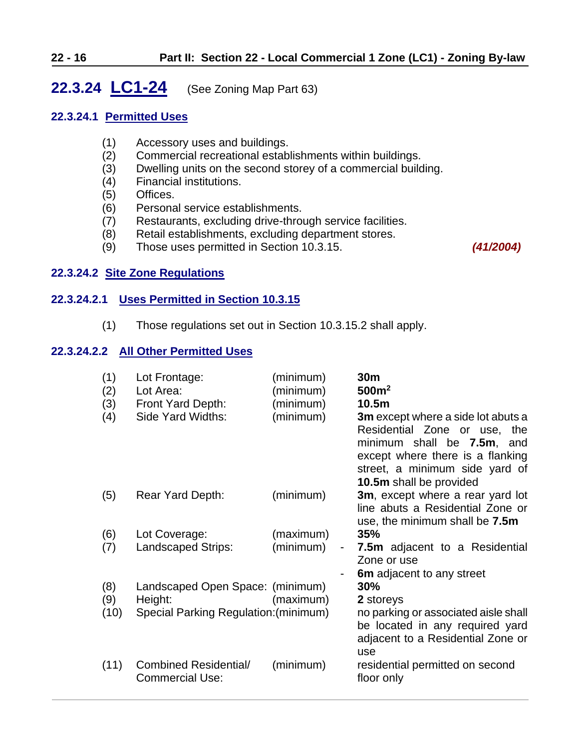# <span id="page-15-0"></span>**22.3.24 LC1-24** (See Zoning Map Part 63)

### **22.3.24.1 Permitted Uses**

- (1) Accessory uses and buildings.
- (2) Commercial recreational establishments within buildings.
- (3) Dwelling units on the second storey of a commercial building.
- (4) Financial institutions.
- (5) Offices.
- (6) Personal service establishments.
- (7) Restaurants, excluding drive-through service facilities.
- (8) Retail establishments, excluding department stores.
- (9) Those uses permitted in Section 10.3.15. *(41/2004)*

### **22.3.24.2 Site Zone Regulations**

### **22.3.24.2.1 Uses Permitted in Section 10.3.15**

(1) Those regulations set out in Section 10.3.15.2 shall apply.

### **22.3.24.2.2 All Other Permitted Uses**

| (1)<br>(2)<br>(3)<br>(4) | Lot Frontage:<br>Lot Area:<br>Front Yard Depth:<br>Side Yard Widths: | (minimum)<br>(minimum)<br>(minimum)<br>(minimum) | 30 <sub>m</sub><br>500m <sup>2</sup><br>10.5m<br><b>3m</b> except where a side lot abuts a<br>Residential Zone or use,<br>the<br>minimum shall be 7.5m, and<br>except where there is a flanking<br>street, a minimum side yard of<br>10.5m shall be provided |
|--------------------------|----------------------------------------------------------------------|--------------------------------------------------|--------------------------------------------------------------------------------------------------------------------------------------------------------------------------------------------------------------------------------------------------------------|
| (5)                      | <b>Rear Yard Depth:</b>                                              | (minimum)                                        | 3m, except where a rear yard lot<br>line abuts a Residential Zone or<br>use, the minimum shall be 7.5m                                                                                                                                                       |
| (6)                      | Lot Coverage:                                                        | (maximum)                                        | 35%                                                                                                                                                                                                                                                          |
| (7)                      | <b>Landscaped Strips:</b>                                            | (minimum)<br>$\overline{\phantom{0}}$            | <b>7.5m</b> adjacent to a Residential<br>Zone or use                                                                                                                                                                                                         |
|                          |                                                                      |                                                  | 6m adjacent to any street                                                                                                                                                                                                                                    |
| (8)                      | Landscaped Open Space: (minimum)                                     |                                                  | 30%                                                                                                                                                                                                                                                          |
| (9)                      | Height:                                                              | (maximum)                                        | 2 storeys                                                                                                                                                                                                                                                    |
| (10)                     | Special Parking Regulation: (minimum)                                |                                                  | no parking or associated aisle shall<br>be located in any required yard<br>adjacent to a Residential Zone or<br>use                                                                                                                                          |
| (11)                     | Combined Residential/<br><b>Commercial Use:</b>                      | (minimum)                                        | residential permitted on second<br>floor only                                                                                                                                                                                                                |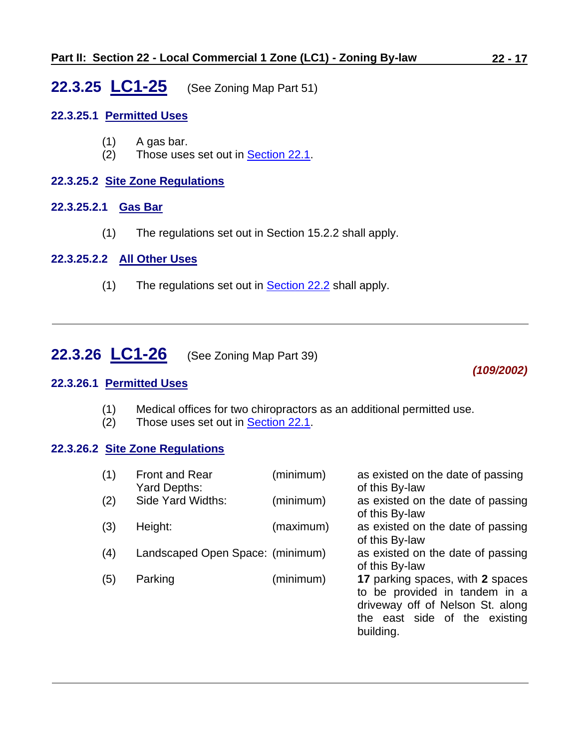# <span id="page-16-0"></span>**22.3.25 LC1-25** (See Zoning Map Part 51)

### **22.3.25.1 Permitted Uses**

- (1) A gas bar.
- (2) Those uses set out in **Section 22.1**.

### **22.3.25.2 Site Zone Regulations**

# **22.3.25.2.1 Gas Bar**

(1) The regulations set out in Section 15.2.2 shall apply.

#### **22.3.25.2.2 All Other Uses**

 $(1)$  The regulations set out in **Section 22.2** shall apply.

# <span id="page-16-1"></span>**22.3.26 LC1-26** (See Zoning Map Part 39)

#### **22.3.26.1 Permitted Uses**

- (1) Medical offices for two chiropractors as an additional permitted use.
- (2) Those uses set out in [Section 22.1.](#page-0-0)

# **22.3.26.2 Site Zone Regulations**

| (1) | <b>Front and Rear</b><br>Yard Depths: | (minimum) | as existed on the date of passing<br>of this By-law                                                                                                 |
|-----|---------------------------------------|-----------|-----------------------------------------------------------------------------------------------------------------------------------------------------|
| (2) | Side Yard Widths:                     | (minimum) | as existed on the date of passing<br>of this By-law                                                                                                 |
| (3) | Height:                               | (maximum) | as existed on the date of passing<br>of this By-law                                                                                                 |
| (4) | Landscaped Open Space: (minimum)      |           | as existed on the date of passing<br>of this By-law                                                                                                 |
| (5) | Parking                               | (minimum) | 17 parking spaces, with 2 spaces<br>to be provided in tandem in a<br>driveway off of Nelson St. along<br>the east side of the existing<br>building. |

*(109/2002)*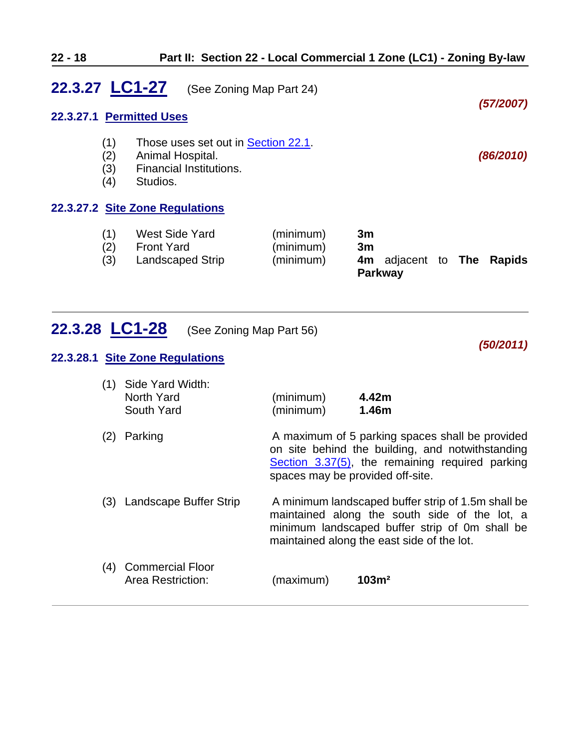<span id="page-17-0"></span>

| 22.3.27 LC1-27 |                          | (See Zoning Map Part 24)                                                                       |                                     |                |                                          |  |           |
|----------------|--------------------------|------------------------------------------------------------------------------------------------|-------------------------------------|----------------|------------------------------------------|--|-----------|
|                |                          | 22.3.27.1 Permitted Uses                                                                       |                                     |                |                                          |  | (57/2007) |
|                | (1)<br>(2)<br>(3)<br>(4) | Those uses set out in Section 22.1.<br>Animal Hospital.<br>Financial Institutions.<br>Studios. |                                     |                |                                          |  | (86/2010) |
|                |                          | 22.3.27.2 Site Zone Regulations                                                                |                                     |                |                                          |  |           |
|                | (1)<br>(2)<br>(3)        | West Side Yard<br><b>Front Yard</b><br>Landscaped Strip                                        | (minimum)<br>(minimum)<br>(minimum) | 3m<br>3m<br>4m | adjacent to <b>The</b><br><b>Parkway</b> |  | Rapids    |

<span id="page-17-1"></span>

|  |  | <b>22.3.28 <math>LC1-28</math></b> (See Zoning Map Part 56) |
|--|--|-------------------------------------------------------------|
|--|--|-------------------------------------------------------------|

#### **22.3.28.1 Site Zone Regulations**

| (1) Side Yard Width: |           |       |  |
|----------------------|-----------|-------|--|
| North Yard           | (minimum) | 4.42m |  |
| South Yard           | (minimum) | 1.46m |  |

(2) Parking **A** maximum of 5 parking spaces shall be provided on site behind the building, and notwithstanding [Section 3.37\(5\),](../ZB_Sec_03_General_Regulations.doc) the remaining required parking spaces may be provided off-site. (3) Landscape Buffer Strip A minimum landscaped buffer strip of 1.5m shall be maintained along the south side of the lot, a minimum landscaped buffer strip of 0m shall be

maintained along the east side of the lot.

*(50/2011)*

(4) Commercial Floor Area Restriction: (maximum) **103m²**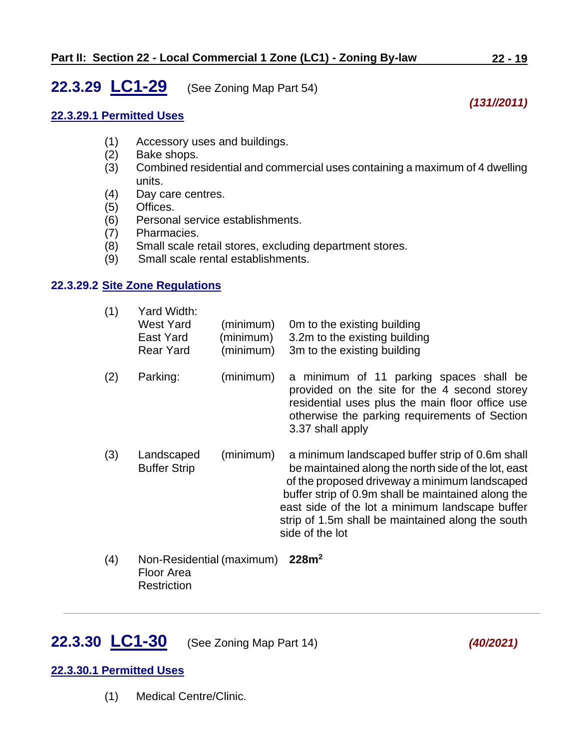# <span id="page-18-0"></span>**22.3.29 LC1-29** (See Zoning Map Part 54)

# *(131//2011)*

### **22.3.29.1 Permitted Uses**

- (1) Accessory uses and buildings.
- (2) Bake shops.
- (3) Combined residential and commercial uses containing a maximum of 4 dwelling units.
- (4) Day care centres.
- (5) Offices.
- (6) Personal service establishments.
- (7) Pharmacies.
- (8) Small scale retail stores, excluding department stores.
- (9) Small scale rental establishments.

### **22.3.29.2 Site Zone Regulations**

| (1) | Yard Width:<br><b>West Yard</b><br>East Yard<br><b>Rear Yard</b> | (minimum)<br>(minimum)<br>(minimum) | Om to the existing building<br>3.2m to the existing building<br>3m to the existing building                                                                                                                     |
|-----|------------------------------------------------------------------|-------------------------------------|-----------------------------------------------------------------------------------------------------------------------------------------------------------------------------------------------------------------|
| (2) | Parking:                                                         | (minimum)                           | a minimum of 11 parking spaces shall be<br>provided on the site for the 4 second storey<br>residential uses plus the main floor office use<br>otherwise the parking requirements of Section<br>3.37 shall apply |

- (3) Landscaped (minimum) a minimum landscaped buffer strip of 0.6m shall Buffer Strip be maintained along the north side of the lot, east of the proposed driveway a minimum landscaped buffer strip of 0.9m shall be maintained along the east side of the lot a minimum landscape buffer strip of 1.5m shall be maintained along the south side of the lot
- (4) Non-Residential (maximum) **228m<sup>2</sup>** Floor Area **Restriction**

# <span id="page-18-1"></span>**22.3.30 LC1-30** (See Zoning Map Part 14) *(40/2021)*

### **22.3.30.1 Permitted Uses**

(1) Medical Centre/Clinic.